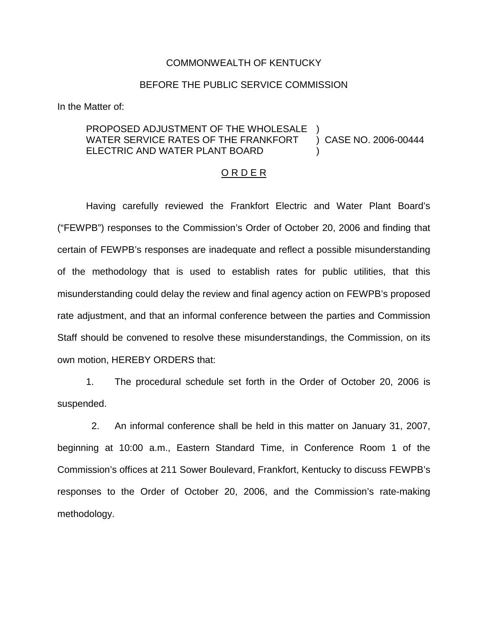## COMMONWEALTH OF KENTUCKY

## BEFORE THE PUBLIC SERVICE COMMISSION

In the Matter of:

## PROPOSED ADJUSTMENT OF THE WHOLESALE WATER SERVICE RATES OF THE FRANKFORT ELECTRIC AND WATER PLANT BOARD ) ) CASE NO. 2006-00444 )

## O R D E R

Having carefully reviewed the Frankfort Electric and Water Plant Board's ("FEWPB") responses to the Commission's Order of October 20, 2006 and finding that certain of FEWPB's responses are inadequate and reflect a possible misunderstanding of the methodology that is used to establish rates for public utilities, that this misunderstanding could delay the review and final agency action on FEWPB's proposed rate adjustment, and that an informal conference between the parties and Commission Staff should be convened to resolve these misunderstandings, the Commission, on its own motion, HEREBY ORDERS that:

1. The procedural schedule set forth in the Order of October 20, 2006 is suspended.

2. An informal conference shall be held in this matter on January 31, 2007, beginning at 10:00 a.m., Eastern Standard Time, in Conference Room 1 of the Commission's offices at 211 Sower Boulevard, Frankfort, Kentucky to discuss FEWPB's responses to the Order of October 20, 2006, and the Commission's rate-making methodology.